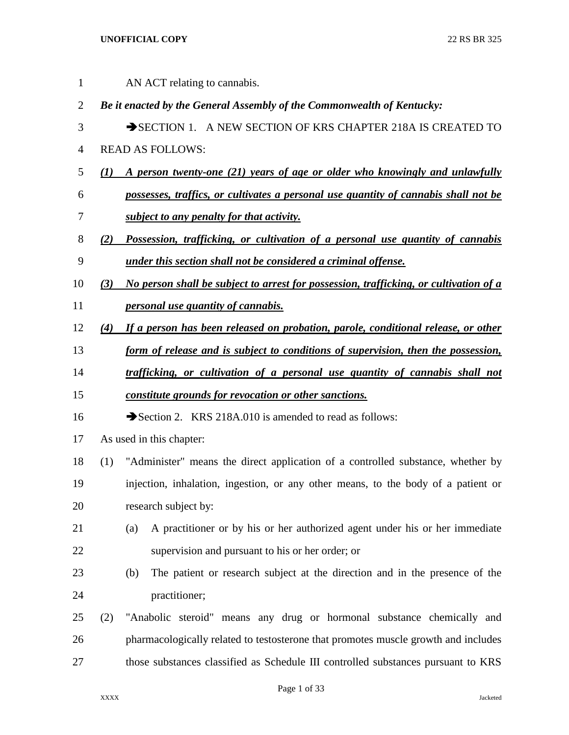1 AN ACT relating to cannabis. *Be it enacted by the General Assembly of the Commonwealth of Kentucky:* 3 SECTION 1. A NEW SECTION OF KRS CHAPTER 218A IS CREATED TO READ AS FOLLOWS: *(1) A person twenty-one (21) years of age or older who knowingly and unlawfully possesses, traffics, or cultivates a personal use quantity of cannabis shall not be subject to any penalty for that activity. (2) Possession, trafficking, or cultivation of a personal use quantity of cannabis under this section shall not be considered a criminal offense. (3) No person shall be subject to arrest for possession, trafficking, or cultivation of a personal use quantity of cannabis. (4) If a person has been released on probation, parole, conditional release, or other form of release and is subject to conditions of supervision, then the possession, trafficking, or cultivation of a personal use quantity of cannabis shall not constitute grounds for revocation or other sanctions.* 16 Section 2. KRS 218A.010 is amended to read as follows: As used in this chapter: (1) "Administer" means the direct application of a controlled substance, whether by injection, inhalation, ingestion, or any other means, to the body of a patient or research subject by: (a) A practitioner or by his or her authorized agent under his or her immediate supervision and pursuant to his or her order; or (b) The patient or research subject at the direction and in the presence of the practitioner; (2) "Anabolic steroid" means any drug or hormonal substance chemically and pharmacologically related to testosterone that promotes muscle growth and includes those substances classified as Schedule III controlled substances pursuant to KRS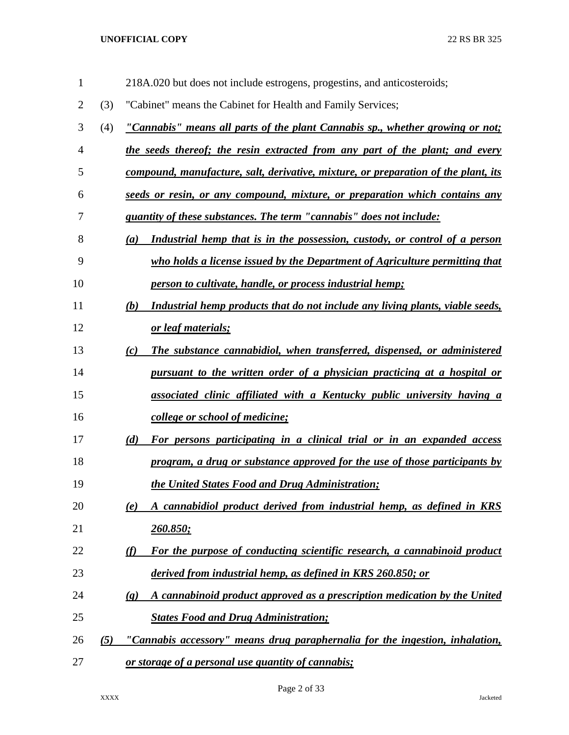| $\mathbf{1}$   |     | 218A.020 but does not include estrogens, progestins, and anticosteroids;                                 |
|----------------|-----|----------------------------------------------------------------------------------------------------------|
| $\overline{2}$ | (3) | "Cabinet" means the Cabinet for Health and Family Services;                                              |
| 3              | (4) | "Cannabis" means all parts of the plant Cannabis sp., whether growing or not;                            |
| $\overline{4}$ |     | the seeds thereof; the resin extracted from any part of the plant; and every                             |
| 5              |     | compound, manufacture, salt, derivative, mixture, or preparation of the plant, its                       |
| 6              |     | seeds or resin, or any compound, mixture, or preparation which contains any                              |
| 7              |     | <i>quantity of these substances. The term "cannabis" does not include:</i>                               |
| 8              |     | Industrial hemp that is in the possession, custody, or control of a person<br>(a)                        |
| 9              |     | who holds a license issued by the Department of Agriculture permitting that                              |
| 10             |     | person to cultivate, handle, or process industrial hemp;                                                 |
| 11             |     | Industrial hemp products that do not include any living plants, viable seeds,<br>(b)                     |
| 12             |     | or leaf materials;                                                                                       |
| 13             |     | The substance cannabidiol, when transferred, dispensed, or administered<br>(c)                           |
| 14             |     | pursuant to the written order of a physician practicing at a hospital or                                 |
| 15             |     | associated clinic affiliated with a Kentucky public university having a                                  |
| 16             |     | college or school of medicine;                                                                           |
| 17             |     | (d)<br>For persons participating in a clinical trial or in an expanded access                            |
| 18             |     | program, a drug or substance approved for the use of those participants by                               |
| 19             |     | the United States Food and Drug Administration;                                                          |
| 20             |     | A cannabidiol product derived from industrial hemp, as defined in KRS<br>(e)                             |
| 21             |     | <u>260.850;</u>                                                                                          |
| 22             |     | For the purpose of conducting scientific research, a cannabinoid product<br>(f)                          |
| 23             |     | derived from industrial hemp, as defined in KRS 260.850; or                                              |
| 24             |     | A cannabinoid product approved as a prescription medication by the United<br>$\left( \mathbf{g} \right)$ |
| 25             |     | <b>States Food and Drug Administration;</b>                                                              |
| 26             | (5) | "Cannabis accessory" means drug paraphernalia for the ingestion, inhalation,                             |
| 27             |     | or storage of a personal use quantity of cannabis;                                                       |

Page 2 of 33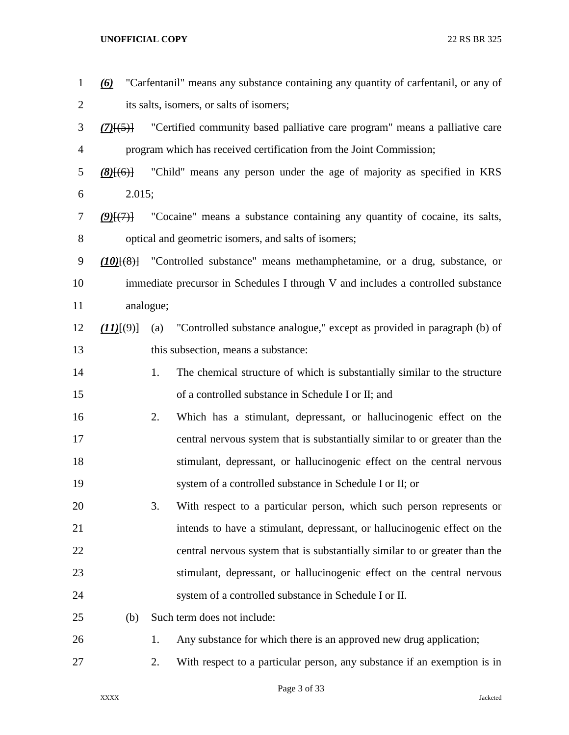| $\mathbf{1}$   | (6)         |           | "Carfentanil" means any substance containing any quantity of carfentanil, or any of |
|----------------|-------------|-----------|-------------------------------------------------------------------------------------|
| $\overline{c}$ |             |           | its salts, isomers, or salts of isomers;                                            |
| 3              | $(7)$ $(5)$ |           | "Certified community based palliative care program" means a palliative care         |
| $\overline{4}$ |             |           | program which has received certification from the Joint Commission;                 |
| 5              | $(8)$ $(6)$ |           | "Child" means any person under the age of majority as specified in KRS              |
| 6              | 2.015;      |           |                                                                                     |
| 7              | $(2)$ $(7)$ |           | "Cocaine" means a substance containing any quantity of cocaine, its salts,          |
| 8              |             |           | optical and geometric isomers, and salts of isomers;                                |
| 9              |             |           | $(10)$ [(8)] "Controlled substance" means methamphetamine, or a drug, substance, or |
| 10             |             |           | immediate precursor in Schedules I through V and includes a controlled substance    |
| 11             |             | analogue; |                                                                                     |
| 12             | (11)(9)     | (a)       | "Controlled substance analogue," except as provided in paragraph (b) of             |
| 13             |             |           | this subsection, means a substance:                                                 |
| 14             |             | 1.        | The chemical structure of which is substantially similar to the structure           |
| 15             |             |           | of a controlled substance in Schedule I or II; and                                  |
| 16             |             | 2.        | Which has a stimulant, depressant, or hallucinogenic effect on the                  |
| 17             |             |           | central nervous system that is substantially similar to or greater than the         |
| 18             |             |           | stimulant, depressant, or hallucinogenic effect on the central nervous              |
| 19             |             |           | system of a controlled substance in Schedule I or II; or                            |
| 20             |             | 3.        | With respect to a particular person, which such person represents or                |
| 21             |             |           | intends to have a stimulant, depressant, or hallucinogenic effect on the            |
| 22             |             |           | central nervous system that is substantially similar to or greater than the         |
| 23             |             |           | stimulant, depressant, or hallucinogenic effect on the central nervous              |
| 24             |             |           | system of a controlled substance in Schedule I or II.                               |
| 25             | (b)         |           | Such term does not include:                                                         |
| 26             |             | 1.        | Any substance for which there is an approved new drug application;                  |
| 27             |             | 2.        | With respect to a particular person, any substance if an exemption is in            |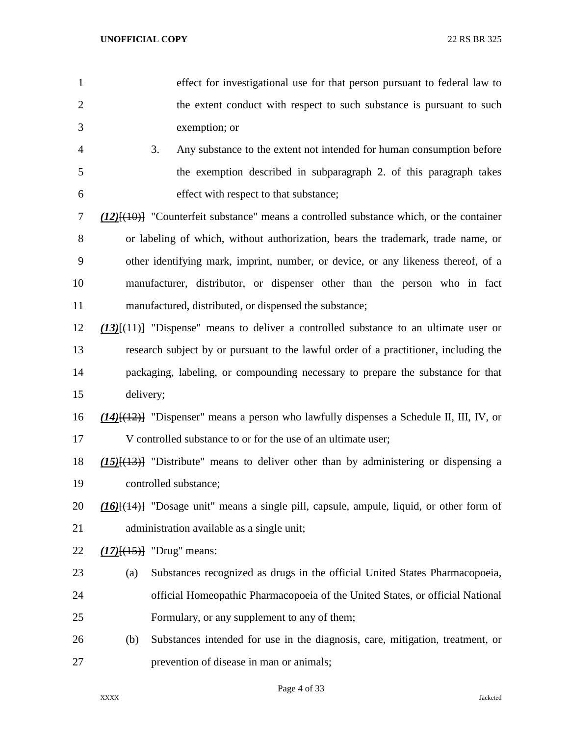- effect for investigational use for that person pursuant to federal law to 2 the extent conduct with respect to such substance is pursuant to such exemption; or
- 3. Any substance to the extent not intended for human consumption before the exemption described in subparagraph 2. of this paragraph takes effect with respect to that substance;

 *(12)*[(10)] "Counterfeit substance" means a controlled substance which, or the container or labeling of which, without authorization, bears the trademark, trade name, or other identifying mark, imprint, number, or device, or any likeness thereof, of a manufacturer, distributor, or dispenser other than the person who in fact manufactured, distributed, or dispensed the substance;

- *(13)*[(11)] "Dispense" means to deliver a controlled substance to an ultimate user or research subject by or pursuant to the lawful order of a practitioner, including the packaging, labeling, or compounding necessary to prepare the substance for that delivery;
- *(14)*[(12)] "Dispenser" means a person who lawfully dispenses a Schedule II, III, IV, or V controlled substance to or for the use of an ultimate user;

 *(15)*[(13)] "Distribute" means to deliver other than by administering or dispensing a controlled substance;

 *(16)*[(14)] "Dosage unit" means a single pill, capsule, ampule, liquid, or other form of administration available as a single unit;

- *(17)*[(15)] "Drug" means:
- (a) Substances recognized as drugs in the official United States Pharmacopoeia, official Homeopathic Pharmacopoeia of the United States, or official National Formulary, or any supplement to any of them;
- (b) Substances intended for use in the diagnosis, care, mitigation, treatment, or prevention of disease in man or animals;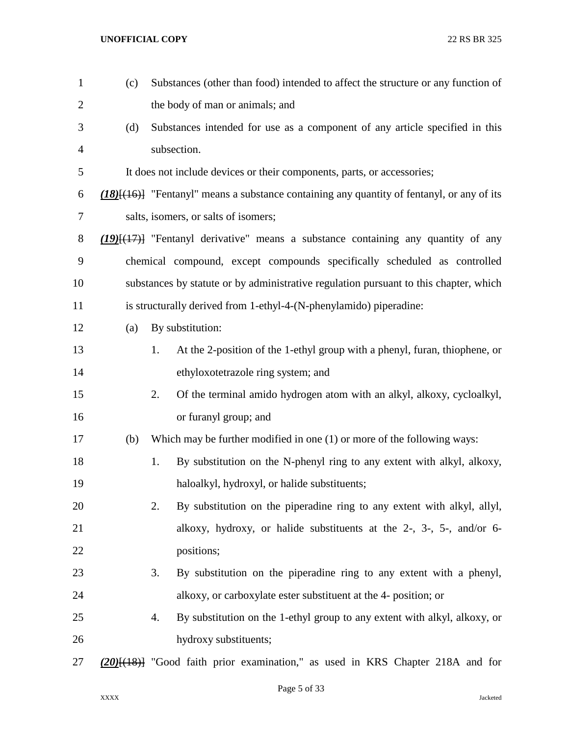| $\mathbf{1}$   | (c) | Substances (other than food) intended to affect the structure or any function of                  |
|----------------|-----|---------------------------------------------------------------------------------------------------|
| $\overline{2}$ |     | the body of man or animals; and                                                                   |
| 3              | (d) | Substances intended for use as a component of any article specified in this                       |
| $\overline{4}$ |     | subsection.                                                                                       |
| 5              |     | It does not include devices or their components, parts, or accessories;                           |
| 6              |     | $(18)$ [ $(16)$ ] "Fentanyl" means a substance containing any quantity of fentanyl, or any of its |
| $\tau$         |     | salts, isomers, or salts of isomers;                                                              |
| $8\,$          |     | $(19)$ [ $(17)$ ] "Fentanyl derivative" means a substance containing any quantity of any          |
| 9              |     | chemical compound, except compounds specifically scheduled as controlled                          |
| 10             |     | substances by statute or by administrative regulation pursuant to this chapter, which             |
| 11             |     | is structurally derived from 1-ethyl-4-(N-phenylamido) piperadine:                                |
| 12             | (a) | By substitution:                                                                                  |
| 13             |     | At the 2-position of the 1-ethyl group with a phenyl, furan, thiophene, or<br>1.                  |
| 14             |     | ethyloxotetrazole ring system; and                                                                |
| 15             |     | 2.<br>Of the terminal amido hydrogen atom with an alkyl, alkoxy, cycloalkyl,                      |
| 16             |     | or furanyl group; and                                                                             |
| 17             | (b) | Which may be further modified in one $(1)$ or more of the following ways:                         |
| 18             |     | By substitution on the N-phenyl ring to any extent with alkyl, alkoxy,<br>1.                      |
| 19             |     | haloalkyl, hydroxyl, or halide substituents;                                                      |
| 20             |     | By substitution on the piperadine ring to any extent with alkyl, allyl,<br>2.                     |
| 21             |     | alkoxy, hydroxy, or halide substituents at the 2-, 3-, 5-, and/or 6-                              |
| 22             |     | positions;                                                                                        |
| 23             |     | By substitution on the piperadine ring to any extent with a phenyl,<br>3.                         |
| 24             |     | alkoxy, or carboxylate ester substituent at the 4- position; or                                   |
| 25             |     | By substitution on the 1-ethyl group to any extent with alkyl, alkoxy, or<br>4.                   |
| 26             |     | hydroxy substituents;                                                                             |
| 27             |     | (20) <sup>[(18)</sup> ] "Good faith prior examination," as used in KRS Chapter 218A and for       |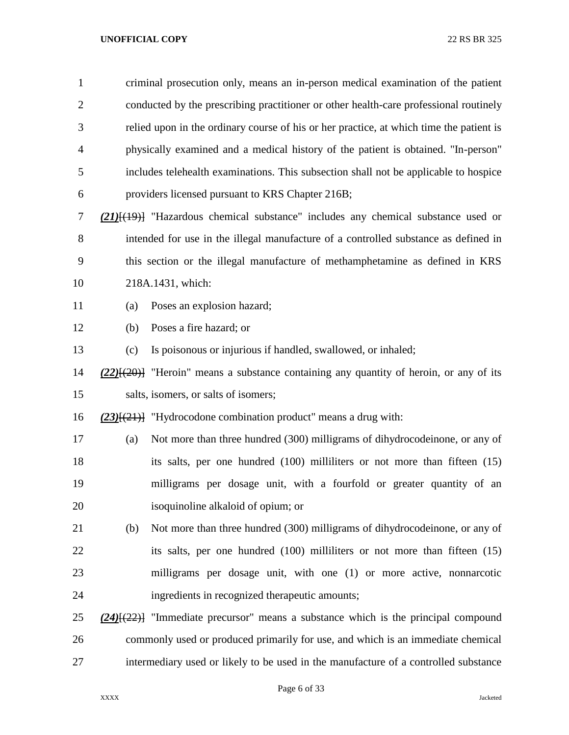| $\mathbf{1}$   |     | criminal prosecution only, means an in-person medical examination of the patient              |
|----------------|-----|-----------------------------------------------------------------------------------------------|
| $\overline{2}$ |     | conducted by the prescribing practitioner or other health-care professional routinely         |
| 3              |     | relied upon in the ordinary course of his or her practice, at which time the patient is       |
| 4              |     | physically examined and a medical history of the patient is obtained. "In-person"             |
| 5              |     | includes telehealth examinations. This subsection shall not be applicable to hospice          |
| 6              |     | providers licensed pursuant to KRS Chapter 216B;                                              |
| 7              |     | $(21)$ [ $(19)$ ] "Hazardous chemical substance" includes any chemical substance used or      |
| $8\,$          |     | intended for use in the illegal manufacture of a controlled substance as defined in           |
| 9              |     | this section or the illegal manufacture of methamphetamine as defined in KRS                  |
| 10             |     | 218A.1431, which:                                                                             |
| 11             | (a) | Poses an explosion hazard;                                                                    |
| 12             | (b) | Poses a fire hazard; or                                                                       |
| 13             | (c) | Is poisonous or injurious if handled, swallowed, or inhaled;                                  |
| 14             |     | $(22)$ [ $(20)$ ] "Heroin" means a substance containing any quantity of heroin, or any of its |
| 15             |     | salts, isomers, or salts of isomers;                                                          |
| 16             |     | $(23)$ [(21)] "Hydrocodone combination product" means a drug with:                            |
| 17             | (a) | Not more than three hundred (300) milligrams of dihydrocodeinone, or any of                   |
| 18             |     | its salts, per one hundred (100) milliliters or not more than fifteen (15)                    |
| 19             |     | milligrams per dosage unit, with a fourfold or greater quantity of an                         |
| 20             |     | isoquinoline alkaloid of opium; or                                                            |
| 21             | (b) | Not more than three hundred (300) milligrams of dihydrocodeinone, or any of                   |
| 22             |     | its salts, per one hundred (100) milliliters or not more than fifteen (15)                    |
| 23             |     | milligrams per dosage unit, with one (1) or more active, nonnarcotic                          |
| 24             |     | ingredients in recognized therapeutic amounts;                                                |
| 25             |     | $(24)$ [ $(22)$ ] "Immediate precursor" means a substance which is the principal compound     |
| 26             |     | commonly used or produced primarily for use, and which is an immediate chemical               |
| 27             |     | intermediary used or likely to be used in the manufacture of a controlled substance           |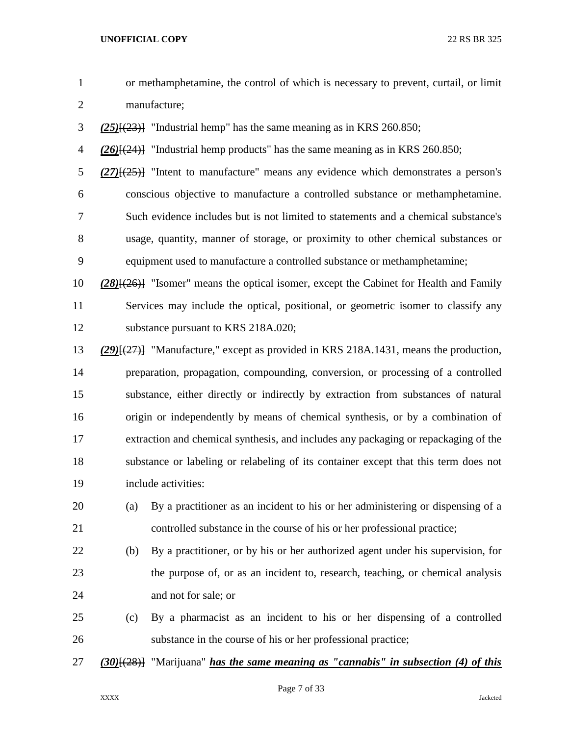| $\mathbf{1}$   |          | or methamphetamine, the control of which is necessary to prevent, curtail, or limit           |
|----------------|----------|-----------------------------------------------------------------------------------------------|
| $\mathbf{2}$   |          | manufacture;                                                                                  |
| 3              |          | $(25)$ { $(23)$ } "Industrial hemp" has the same meaning as in KRS 260.850;                   |
| $\overline{4}$ |          | $(26)$ [ $(24)$ ] "Industrial hemp products" has the same meaning as in KRS 260.850;          |
| 5              |          | $(27)$ [ $(25)$ ] "Intent to manufacture" means any evidence which demonstrates a person's    |
| 6              |          | conscious objective to manufacture a controlled substance or methamphetamine.                 |
| 7              |          | Such evidence includes but is not limited to statements and a chemical substance's            |
| 8              |          | usage, quantity, manner of storage, or proximity to other chemical substances or              |
| 9              |          | equipment used to manufacture a controlled substance or methamphetamine;                      |
| 10             |          | $(28)$ [ $(26)$ ] "Isomer" means the optical isomer, except the Cabinet for Health and Family |
| 11             |          | Services may include the optical, positional, or geometric isomer to classify any             |
| 12             |          | substance pursuant to KRS 218A.020;                                                           |
| 13             |          | $(29)(27)$ ] "Manufacture," except as provided in KRS 218A.1431, means the production,        |
| 14             |          | preparation, propagation, compounding, conversion, or processing of a controlled              |
| 15             |          | substance, either directly or indirectly by extraction from substances of natural             |
| 16             |          | origin or independently by means of chemical synthesis, or by a combination of                |
| 17             |          | extraction and chemical synthesis, and includes any packaging or repackaging of the           |
| 18             |          | substance or labeling or relabeling of its container except that this term does not           |
| 19             |          | include activities:                                                                           |
| 20             | (a)      | By a practitioner as an incident to his or her administering or dispensing of a               |
| 21             |          | controlled substance in the course of his or her professional practice;                       |
| 22             | (b)      | By a practitioner, or by his or her authorized agent under his supervision, for               |
| 23             |          | the purpose of, or as an incident to, research, teaching, or chemical analysis                |
| 24             |          | and not for sale; or                                                                          |
| 25             | (c)      | By a pharmacist as an incident to his or her dispensing of a controlled                       |
| 26             |          | substance in the course of his or her professional practice;                                  |
| 27             | (30)(28) | "Marijuana" <i>has the same meaning as "cannabis" in subsection (4) of this</i>               |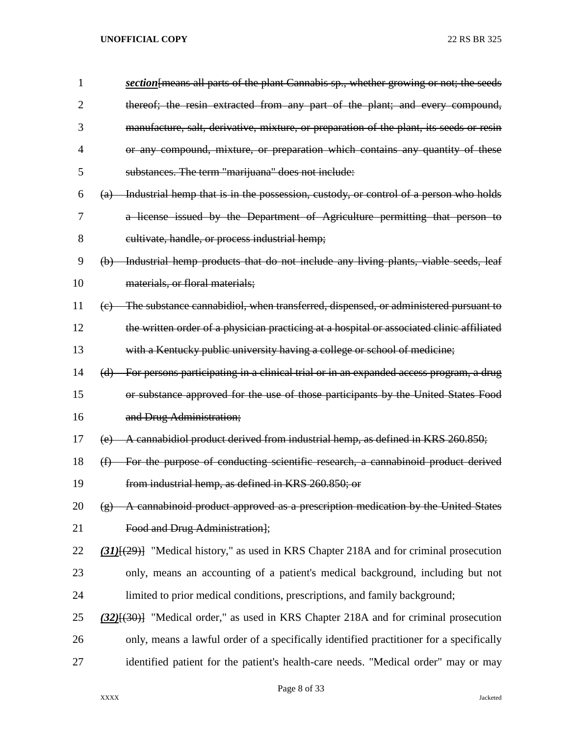| 1              | section [means all parts of the plant Cannabis sp., whether growing or not; the seeds                                 |
|----------------|-----------------------------------------------------------------------------------------------------------------------|
| $\overline{2}$ | thereof; the resin extracted from any part of the plant; and every compound,                                          |
| 3              | manufacture, salt, derivative, mixture, or preparation of the plant, its seeds or resin                               |
| 4              | or any compound, mixture, or preparation which contains any quantity of these                                         |
| 5              | substances. The term "marijuana" does not include:                                                                    |
| 6              | Industrial hemp that is in the possession, custody, or control of a person who holds<br>$\left( a\right)$             |
| 7              | a license issued by the Department of Agriculture permitting that person to                                           |
| 8              | cultivate, handle, or process industrial hemp;                                                                        |
| 9              | Industrial hemp products that do not include any living plants, viable seeds, leaf<br>$\Theta$                        |
| 10             | materials, or floral materials;                                                                                       |
| 11             | The substance cannabidiol, when transferred, dispensed, or administered pursuant to<br>$\left( e\right)$              |
| 12             | the written order of a physician practicing at a hospital or associated clinic affiliated                             |
| 13             | with a Kentucky public university having a college or school of medicine;                                             |
| 14             | For persons participating in a clinical trial or in an expanded access program, a drug<br>(d)                         |
| 15             | or substance approved for the use of those participants by the United States Food                                     |
| 16             | and Drug Administration;                                                                                              |
| 17             | A cannabidiol product derived from industrial hemp, as defined in KRS 260.850;<br>(e)                                 |
| 18             | For the purpose of conducting scientific research, a cannabinoid product derived<br>$\bigoplus$                       |
| 19             | from industrial hemp, as defined in KRS 260.850; or                                                                   |
| 20             | A cannabinoid product approved as a prescription medication by the United States<br>$\left( \frac{\alpha}{2} \right)$ |
| 21             | Food and Drug Administration];                                                                                        |
| 22             | $\underline{(31)}[(29)]$ "Medical history," as used in KRS Chapter 218A and for criminal prosecution                  |
| 23             | only, means an accounting of a patient's medical background, including but not                                        |
| 24             | limited to prior medical conditions, prescriptions, and family background;                                            |
| 25             | $(32)$ [ $(30)$ ] "Medical order," as used in KRS Chapter 218A and for criminal prosecution                           |
| 26             | only, means a lawful order of a specifically identified practitioner for a specifically                               |
| 27             | identified patient for the patient's health-care needs. "Medical order" may or may                                    |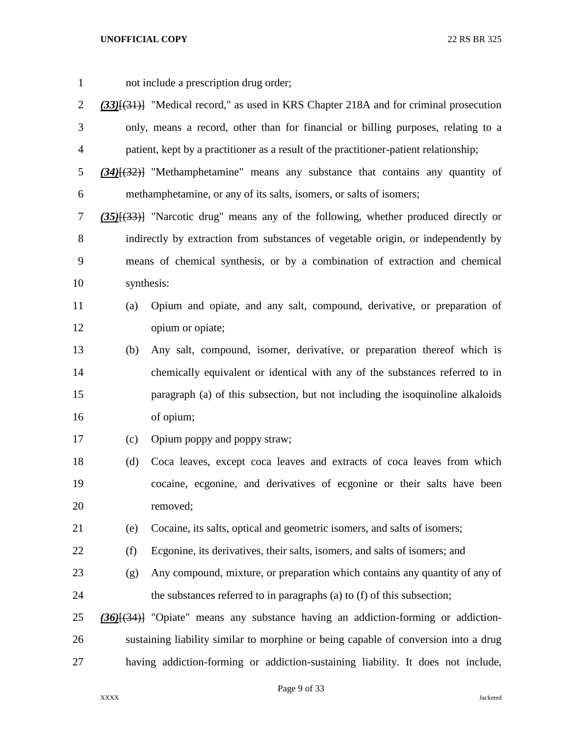| $\mathbf{1}$   |     | not include a prescription drug order;                                                       |
|----------------|-----|----------------------------------------------------------------------------------------------|
| $\overline{2}$ |     | $(33)$ [ $(31)$ ] "Medical record," as used in KRS Chapter 218A and for criminal prosecution |
| 3              |     | only, means a record, other than for financial or billing purposes, relating to a            |
| $\overline{4}$ |     | patient, kept by a practitioner as a result of the practitioner-patient relationship;        |
| 5              |     | $(34)$ [ $(32)$ ] "Methamphetamine" means any substance that contains any quantity of        |
| 6              |     | methamphetamine, or any of its salts, isomers, or salts of isomers;                          |
| 7              |     | $(35)$ [ $(33)$ ] "Narcotic drug" means any of the following, whether produced directly or   |
| 8              |     | indirectly by extraction from substances of vegetable origin, or independently by            |
| 9              |     | means of chemical synthesis, or by a combination of extraction and chemical                  |
| 10             |     | synthesis:                                                                                   |
| 11             | (a) | Opium and opiate, and any salt, compound, derivative, or preparation of                      |
| 12             |     | opium or opiate;                                                                             |
| 13             | (b) | Any salt, compound, isomer, derivative, or preparation thereof which is                      |
| 14             |     | chemically equivalent or identical with any of the substances referred to in                 |
| 15             |     | paragraph (a) of this subsection, but not including the isoquinoline alkaloids               |
| 16             |     | of opium;                                                                                    |
| 17             | (c) | Opium poppy and poppy straw;                                                                 |
| 18             | (d) | Coca leaves, except coca leaves and extracts of coca leaves from which                       |
| 19             |     | cocaine, ecgonine, and derivatives of ecgonine or their salts have been                      |
| 20             |     | removed;                                                                                     |
| 21             | (e) | Cocaine, its salts, optical and geometric isomers, and salts of isomers;                     |
| 22             | (f) | Ecgonine, its derivatives, their salts, isomers, and salts of isomers; and                   |
| 23             | (g) | Any compound, mixture, or preparation which contains any quantity of any of                  |
| 24             |     | the substances referred to in paragraphs (a) to (f) of this subsection;                      |
| 25             |     | $(36)$ [ $(34)$ ] "Opiate" means any substance having an addiction-forming or addiction-     |
| 26             |     | sustaining liability similar to morphine or being capable of conversion into a drug          |
| 27             |     | having addiction-forming or addiction-sustaining liability. It does not include,             |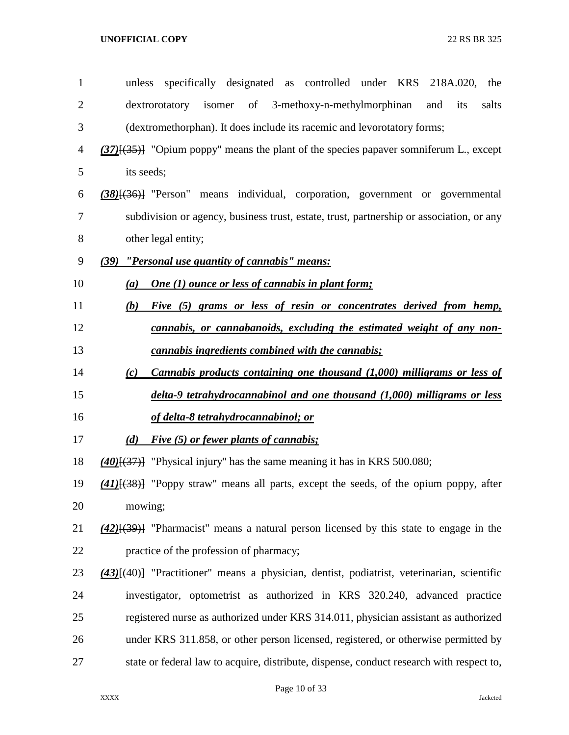| $\mathbf{1}$   | specifically designated as controlled under KRS<br>218A.020,<br>unless<br>the                           |
|----------------|---------------------------------------------------------------------------------------------------------|
| $\overline{2}$ | isomer of 3-methoxy-n-methylmorphinan<br>dextrorotatory<br>its<br>salts<br>and                          |
| 3              | (dextromethorphan). It does include its racemic and levorotatory forms;                                 |
| 4              | $(37)$ [ $(35)$ ] "Opium poppy" means the plant of the species papaver somniferum L., except            |
| 5              | its seeds;                                                                                              |
| 6              | $(38)$ [ $(36)$ ] "Person" means individual, corporation, government or governmental                    |
| 7              | subdivision or agency, business trust, estate, trust, partnership or association, or any                |
| 8              | other legal entity;                                                                                     |
| 9              | "Personal use quantity of cannabis" means:<br>(39)                                                      |
| 10             | <b>One (1) ounce or less of cannabis in plant form;</b><br>(a)                                          |
| 11             | (b)<br>Five (5) grams or less of resin or concentrates derived from hemp,                               |
| 12             | cannabis, or cannabanoids, excluding the estimated weight of any non-                                   |
| 13             | cannabis ingredients combined with the cannabis;                                                        |
| 14             | Cannabis products containing one thousand (1,000) milligrams or less of<br>(c)                          |
|                |                                                                                                         |
| 15             | delta-9 tetrahydrocannabinol and one thousand (1,000) milligrams or less                                |
| 16             | <u>of delta-8 tetrahydrocannabinol; or</u>                                                              |
| 17             | Five (5) or fewer plants of cannabis;<br>(d)                                                            |
| 18             | $(40)(37)$ ] "Physical injury" has the same meaning it has in KRS 500.080;                              |
| 19             | $(41)$ [ $(38)$ ] "Poppy straw" means all parts, except the seeds, of the opium poppy, after            |
| 20             | mowing;                                                                                                 |
| 21             | $(42)$ [ $(39)$ ] "Pharmacist" means a natural person licensed by this state to engage in the           |
| 22             | practice of the profession of pharmacy;                                                                 |
| 23             | (43) <sup>[(40)</sup> ] "Practitioner" means a physician, dentist, podiatrist, veterinarian, scientific |
| 24             | investigator, optometrist as authorized in KRS 320.240, advanced practice                               |
| 25             | registered nurse as authorized under KRS 314.011, physician assistant as authorized                     |
| 26             | under KRS 311.858, or other person licensed, registered, or otherwise permitted by                      |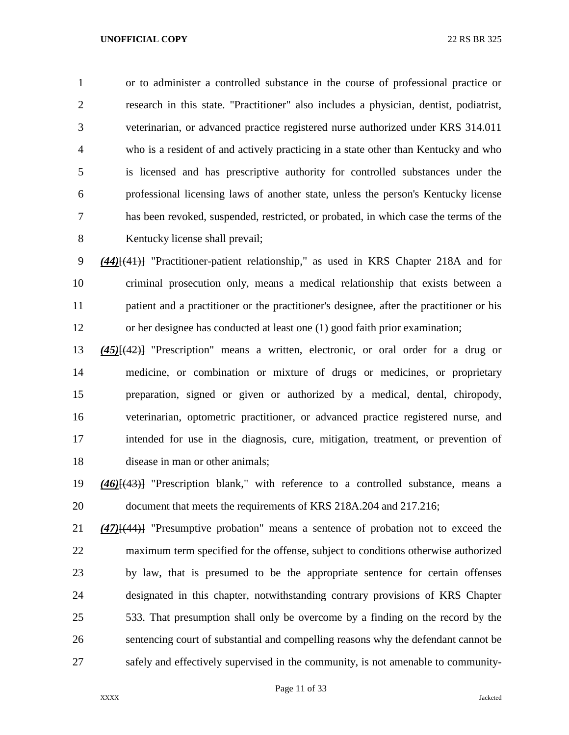or to administer a controlled substance in the course of professional practice or research in this state. "Practitioner" also includes a physician, dentist, podiatrist, veterinarian, or advanced practice registered nurse authorized under KRS 314.011 who is a resident of and actively practicing in a state other than Kentucky and who is licensed and has prescriptive authority for controlled substances under the professional licensing laws of another state, unless the person's Kentucky license has been revoked, suspended, restricted, or probated, in which case the terms of the Kentucky license shall prevail;

 *(44)*[(41)] "Practitioner-patient relationship," as used in KRS Chapter 218A and for criminal prosecution only, means a medical relationship that exists between a patient and a practitioner or the practitioner's designee, after the practitioner or his or her designee has conducted at least one (1) good faith prior examination;

 *(45)*[(42)] "Prescription" means a written, electronic, or oral order for a drug or medicine, or combination or mixture of drugs or medicines, or proprietary preparation, signed or given or authorized by a medical, dental, chiropody, veterinarian, optometric practitioner, or advanced practice registered nurse, and intended for use in the diagnosis, cure, mitigation, treatment, or prevention of disease in man or other animals;

 *(46)*[(43)] "Prescription blank," with reference to a controlled substance, means a document that meets the requirements of KRS 218A.204 and 217.216;

 *(47)*[(44)] "Presumptive probation" means a sentence of probation not to exceed the maximum term specified for the offense, subject to conditions otherwise authorized by law, that is presumed to be the appropriate sentence for certain offenses designated in this chapter, notwithstanding contrary provisions of KRS Chapter 533. That presumption shall only be overcome by a finding on the record by the sentencing court of substantial and compelling reasons why the defendant cannot be safely and effectively supervised in the community, is not amenable to community-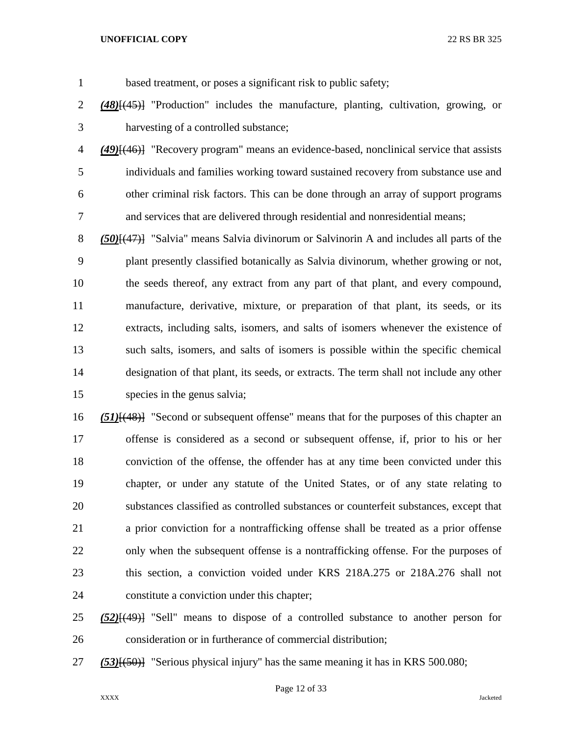based treatment, or poses a significant risk to public safety;

- *(48)*[(45)] "Production" includes the manufacture, planting, cultivation, growing, or harvesting of a controlled substance;
- *(49)*[(46)] "Recovery program" means an evidence-based, nonclinical service that assists individuals and families working toward sustained recovery from substance use and other criminal risk factors. This can be done through an array of support programs and services that are delivered through residential and nonresidential means;
- *(50)*[(47)] "Salvia" means Salvia divinorum or Salvinorin A and includes all parts of the plant presently classified botanically as Salvia divinorum, whether growing or not, the seeds thereof, any extract from any part of that plant, and every compound, manufacture, derivative, mixture, or preparation of that plant, its seeds, or its extracts, including salts, isomers, and salts of isomers whenever the existence of such salts, isomers, and salts of isomers is possible within the specific chemical designation of that plant, its seeds, or extracts. The term shall not include any other species in the genus salvia;
- *(51)*[(48)] "Second or subsequent offense" means that for the purposes of this chapter an offense is considered as a second or subsequent offense, if, prior to his or her conviction of the offense, the offender has at any time been convicted under this chapter, or under any statute of the United States, or of any state relating to substances classified as controlled substances or counterfeit substances, except that a prior conviction for a nontrafficking offense shall be treated as a prior offense only when the subsequent offense is a nontrafficking offense. For the purposes of this section, a conviction voided under KRS 218A.275 or 218A.276 shall not constitute a conviction under this chapter;
- *(52)*[(49)] "Sell" means to dispose of a controlled substance to another person for consideration or in furtherance of commercial distribution;
- *(53)*[(50)] "Serious physical injury" has the same meaning it has in KRS 500.080;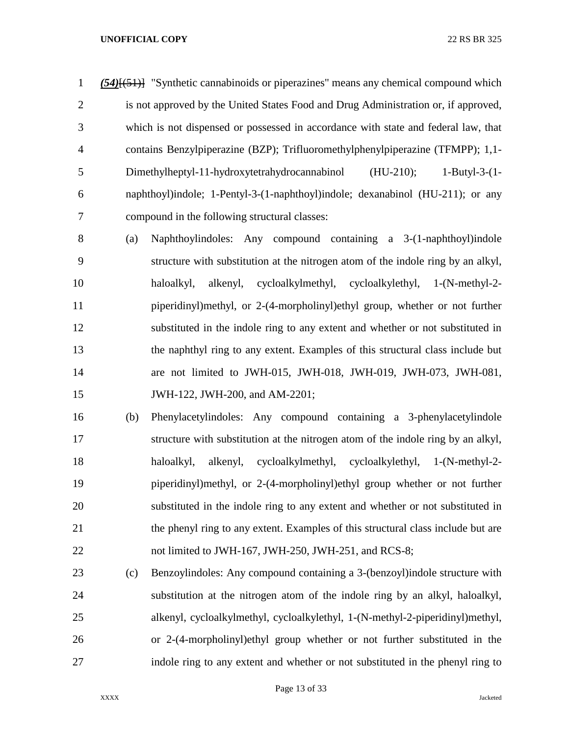*(54)*[(51)] "Synthetic cannabinoids or piperazines" means any chemical compound which is not approved by the United States Food and Drug Administration or, if approved, which is not dispensed or possessed in accordance with state and federal law, that contains Benzylpiperazine (BZP); Trifluoromethylphenylpiperazine (TFMPP); 1,1- Dimethylheptyl-11-hydroxytetrahydrocannabinol (HU-210); 1-Butyl-3-(1- naphthoyl)indole; 1-Pentyl-3-(1-naphthoyl)indole; dexanabinol (HU-211); or any compound in the following structural classes:

 (a) Naphthoylindoles: Any compound containing a 3-(1-naphthoyl)indole structure with substitution at the nitrogen atom of the indole ring by an alkyl, haloalkyl, alkenyl, cycloalkylmethyl, cycloalkylethyl, 1-(N-methyl-2- piperidinyl)methyl, or 2-(4-morpholinyl)ethyl group, whether or not further substituted in the indole ring to any extent and whether or not substituted in the naphthyl ring to any extent. Examples of this structural class include but are not limited to JWH-015, JWH-018, JWH-019, JWH-073, JWH-081, JWH-122, JWH-200, and AM-2201;

 (b) Phenylacetylindoles: Any compound containing a 3-phenylacetylindole structure with substitution at the nitrogen atom of the indole ring by an alkyl, haloalkyl, alkenyl, cycloalkylmethyl, cycloalkylethyl, 1-(N-methyl-2- piperidinyl)methyl, or 2-(4-morpholinyl)ethyl group whether or not further substituted in the indole ring to any extent and whether or not substituted in the phenyl ring to any extent. Examples of this structural class include but are 22 not limited to JWH-167, JWH-250, JWH-251, and RCS-8;

 (c) Benzoylindoles: Any compound containing a 3-(benzoyl)indole structure with substitution at the nitrogen atom of the indole ring by an alkyl, haloalkyl, alkenyl, cycloalkylmethyl, cycloalkylethyl, 1-(N-methyl-2-piperidinyl)methyl, or 2-(4-morpholinyl)ethyl group whether or not further substituted in the indole ring to any extent and whether or not substituted in the phenyl ring to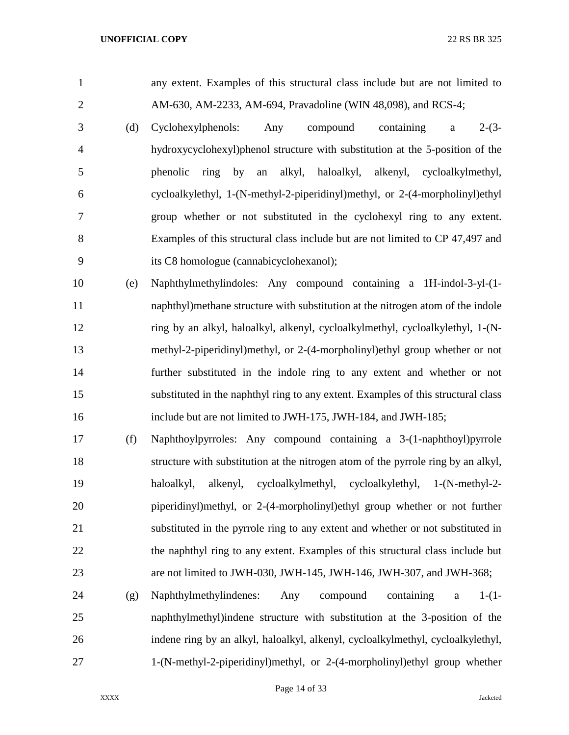any extent. Examples of this structural class include but are not limited to AM-630, AM-2233, AM-694, Pravadoline (WIN 48,098), and RCS-4; (d) Cyclohexylphenols: Any compound containing a 2-(3- hydroxycyclohexyl)phenol structure with substitution at the 5-position of the phenolic ring by an alkyl, haloalkyl, alkenyl, cycloalkylmethyl, cycloalkylethyl, 1-(N-methyl-2-piperidinyl)methyl, or 2-(4-morpholinyl)ethyl group whether or not substituted in the cyclohexyl ring to any extent. Examples of this structural class include but are not limited to CP 47,497 and its C8 homologue (cannabicyclohexanol); (e) Naphthylmethylindoles: Any compound containing a 1H-indol-3-yl-(1- naphthyl)methane structure with substitution at the nitrogen atom of the indole ring by an alkyl, haloalkyl, alkenyl, cycloalkylmethyl, cycloalkylethyl, 1-(N- methyl-2-piperidinyl)methyl, or 2-(4-morpholinyl)ethyl group whether or not further substituted in the indole ring to any extent and whether or not substituted in the naphthyl ring to any extent. Examples of this structural class include but are not limited to JWH-175, JWH-184, and JWH-185;

 (f) Naphthoylpyrroles: Any compound containing a 3-(1-naphthoyl)pyrrole structure with substitution at the nitrogen atom of the pyrrole ring by an alkyl, haloalkyl, alkenyl, cycloalkylmethyl, cycloalkylethyl, 1-(N-methyl-2- piperidinyl)methyl, or 2-(4-morpholinyl)ethyl group whether or not further substituted in the pyrrole ring to any extent and whether or not substituted in the naphthyl ring to any extent. Examples of this structural class include but are not limited to JWH-030, JWH-145, JWH-146, JWH-307, and JWH-368;

 (g) Naphthylmethylindenes: Any compound containing a 1-(1- naphthylmethyl)indene structure with substitution at the 3-position of the indene ring by an alkyl, haloalkyl, alkenyl, cycloalkylmethyl, cycloalkylethyl, 1-(N-methyl-2-piperidinyl)methyl, or 2-(4-morpholinyl)ethyl group whether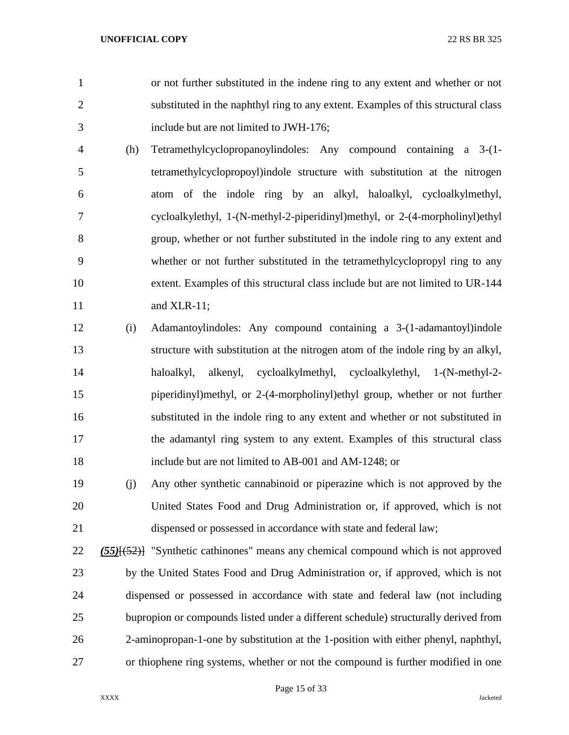or not further substituted in the indene ring to any extent and whether or not substituted in the naphthyl ring to any extent. Examples of this structural class include but are not limited to JWH-176;

- (h) Tetramethylcyclopropanoylindoles: Any compound containing a 3-(1- tetramethylcyclopropoyl)indole structure with substitution at the nitrogen atom of the indole ring by an alkyl, haloalkyl, cycloalkylmethyl, cycloalkylethyl, 1-(N-methyl-2-piperidinyl)methyl, or 2-(4-morpholinyl)ethyl group, whether or not further substituted in the indole ring to any extent and whether or not further substituted in the tetramethylcyclopropyl ring to any extent. Examples of this structural class include but are not limited to UR-144 and XLR-11;
- (i) Adamantoylindoles: Any compound containing a 3-(1-adamantoyl)indole structure with substitution at the nitrogen atom of the indole ring by an alkyl, haloalkyl, alkenyl, cycloalkylmethyl, cycloalkylethyl, 1-(N-methyl-2- piperidinyl)methyl, or 2-(4-morpholinyl)ethyl group, whether or not further substituted in the indole ring to any extent and whether or not substituted in the adamantyl ring system to any extent. Examples of this structural class include but are not limited to AB-001 and AM-1248; or
- (j) Any other synthetic cannabinoid or piperazine which is not approved by the United States Food and Drug Administration or, if approved, which is not dispensed or possessed in accordance with state and federal law;
- *(55)*[(52)] "Synthetic cathinones" means any chemical compound which is not approved by the United States Food and Drug Administration or, if approved, which is not dispensed or possessed in accordance with state and federal law (not including bupropion or compounds listed under a different schedule) structurally derived from 2-aminopropan-1-one by substitution at the 1-position with either phenyl, naphthyl, or thiophene ring systems, whether or not the compound is further modified in one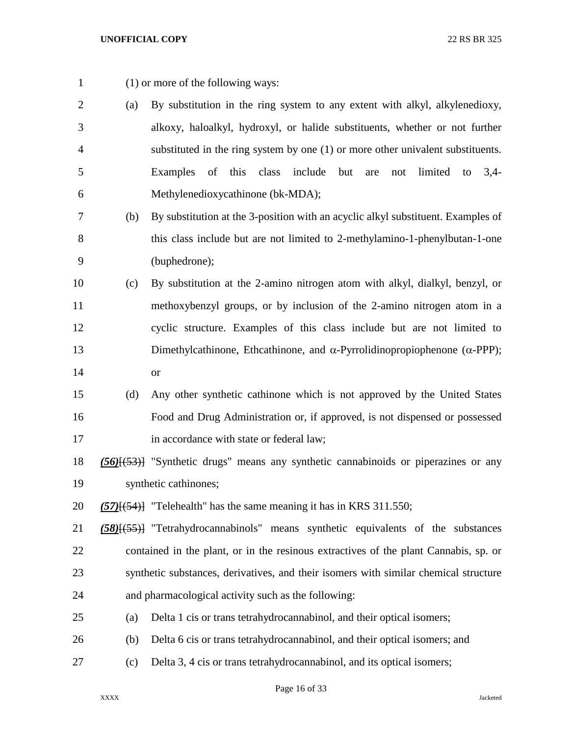- (1) or more of the following ways:
- (a) By substitution in the ring system to any extent with alkyl, alkylenedioxy, alkoxy, haloalkyl, hydroxyl, or halide substituents, whether or not further substituted in the ring system by one (1) or more other univalent substituents. Examples of this class include but are not limited to 3,4- Methylenedioxycathinone (bk-MDA);
- (b) By substitution at the 3-position with an acyclic alkyl substituent. Examples of this class include but are not limited to 2-methylamino-1-phenylbutan-1-one (buphedrone);
- (c) By substitution at the 2-amino nitrogen atom with alkyl, dialkyl, benzyl, or methoxybenzyl groups, or by inclusion of the 2-amino nitrogen atom in a cyclic structure. Examples of this class include but are not limited to 13 Dimethylcathinone, Ethcathinone, and  $\alpha$ -Pyrrolidinopropiophenone ( $\alpha$ -PPP); or
- (d) Any other synthetic cathinone which is not approved by the United States Food and Drug Administration or, if approved, is not dispensed or possessed 17 in accordance with state or federal law;
- *(56)*[(53)] "Synthetic drugs" means any synthetic cannabinoids or piperazines or any synthetic cathinones;
- *(57)*[(54)] "Telehealth" has the same meaning it has in KRS 311.550;
- *(58)*[(55)] "Tetrahydrocannabinols" means synthetic equivalents of the substances contained in the plant, or in the resinous extractives of the plant Cannabis, sp. or synthetic substances, derivatives, and their isomers with similar chemical structure and pharmacological activity such as the following:
- (a) Delta 1 cis or trans tetrahydrocannabinol, and their optical isomers;
- (b) Delta 6 cis or trans tetrahydrocannabinol, and their optical isomers; and
- (c) Delta 3, 4 cis or trans tetrahydrocannabinol, and its optical isomers;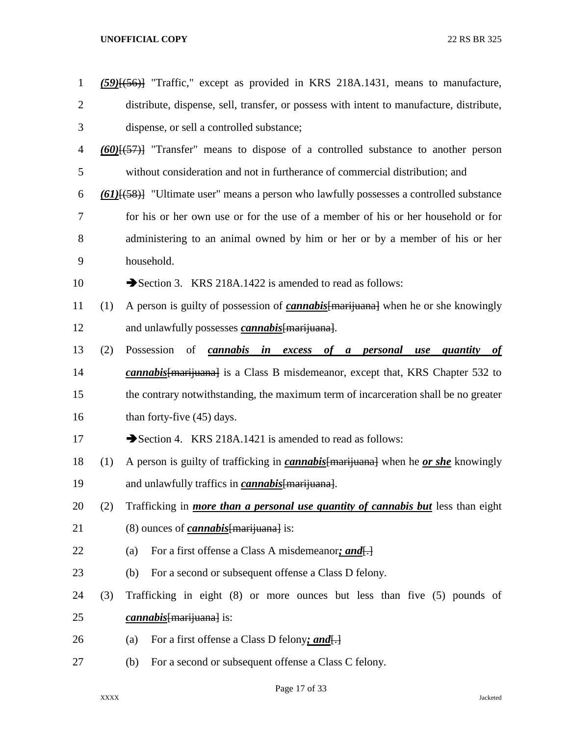| $\mathbf{1}$   |     | (59) <sup>{(56)}</sup> "Traffic," except as provided in KRS 218A.1431, means to manufacture,                      |
|----------------|-----|-------------------------------------------------------------------------------------------------------------------|
| 2              |     | distribute, dispense, sell, transfer, or possess with intent to manufacture, distribute,                          |
| 3              |     | dispense, or sell a controlled substance;                                                                         |
| $\overline{4}$ |     | $(60)$ $(60)$ $(57)$ "Transfer" means to dispose of a controlled substance to another person                      |
| 5              |     | without consideration and not in furtherance of commercial distribution; and                                      |
| 6              |     | $\underline{(61)}\underline{[ (58)}$ "Ultimate user" means a person who lawfully possesses a controlled substance |
| 7              |     | for his or her own use or for the use of a member of his or her household or for                                  |
| 8              |     | administering to an animal owned by him or her or by a member of his or her                                       |
| 9              |     | household.                                                                                                        |
| 10             |     | Section 3. KRS 218A.1422 is amended to read as follows:                                                           |
| 11             | (1) | A person is guilty of possession of <i>cannabis</i> [marijuana] when he or she knowingly                          |
| 12             |     | and unlawfully possesses <i>cannabis</i> [marijuana].                                                             |
| 13             | (2) | Possession<br>of cannabis in excess of a personal use quantity<br>of                                              |
| 14             |     | <i>cannabis</i> [marijuana] is a Class B misdemeanor, except that, KRS Chapter 532 to                             |
| 15             |     | the contrary notwithstanding, the maximum term of incarceration shall be no greater                               |
| 16             |     | than forty-five (45) days.                                                                                        |
| 17             |     | Section 4. KRS 218A.1421 is amended to read as follows:                                                           |
| 18             | (1) | A person is guilty of trafficking in <i>cannabis</i> [marijuana] when he <i>or she</i> knowingly                  |
| 19             |     | and unlawfully traffics in <i>cannabis</i> [marijuana].                                                           |
| 20             | (2) | Trafficking in <i>more than a personal use quantity of cannabis but</i> less than eight                           |
| 21             |     | $(8)$ ounces of <i>cannabis</i> [marijuana] is:                                                                   |
| 22             |     | For a first offense a Class A misdemeanor; and.<br>(a)                                                            |
| 23             |     | For a second or subsequent offense a Class D felony.<br>(b)                                                       |
| 24             | (3) | Trafficking in eight (8) or more ounces but less than five (5) pounds of                                          |
| 25             |     | <i>cannabis</i> [marijuana] is:                                                                                   |
| 26             |     | For a first offense a Class D felony; and.<br>(a)                                                                 |
| 27             |     | For a second or subsequent offense a Class C felony.<br>(b)                                                       |
|                |     |                                                                                                                   |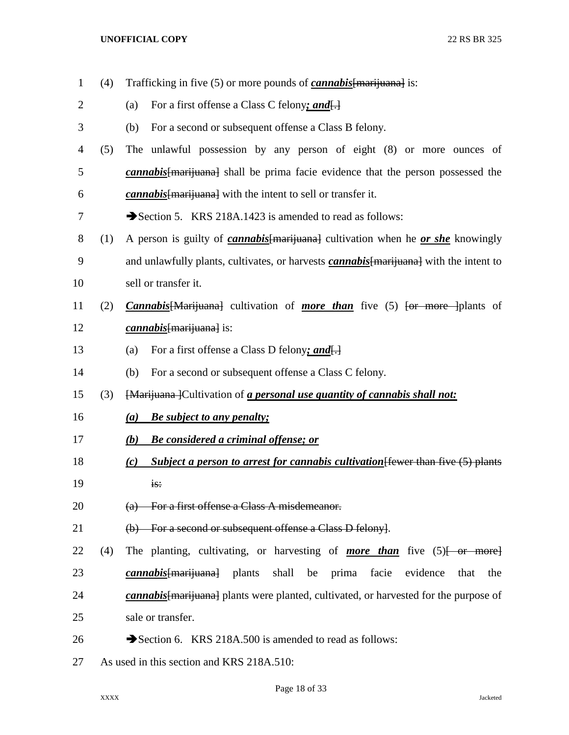- (4) Trafficking in five (5) or more pounds of *cannabis*[marijuana] is: (a) For a first offense a Class C felony*; and*[.] (b) For a second or subsequent offense a Class B felony. (5) The unlawful possession by any person of eight (8) or more ounces of *cannabis*[marijuana] shall be prima facie evidence that the person possessed the *cannabis*[marijuana] with the intent to sell or transfer it. 7 Section 5. KRS 218A.1423 is amended to read as follows: (1) A person is guilty of *cannabis*[marijuana] cultivation when he *or she* knowingly and unlawfully plants, cultivates, or harvests *cannabis*[marijuana] with the intent to sell or transfer it. (2) *Cannabis*[Marijuana] cultivation of *more than* five (5) [or more ]plants of *cannabis*[marijuana] is: (a) For a first offense a Class D felony*; and*[.] (b) For a second or subsequent offense a Class C felony. (3) [Marijuana ]Cultivation of *a personal use quantity of cannabis shall not: (a) Be subject to any penalty; (b) Be considered a criminal offense; or (c) Subject a person to arrest for cannabis cultivation*[fewer than five (5) plants is: 20 (a) For a first offense a Class A misdemeanor. (b) For a second or subsequent offense a Class D felony]. 22 (4) The planting, cultivating, or harvesting of *more than* five (5)<del>[ or more]</del> *cannabis*[marijuana] plants shall be prima facie evidence that the *cannabis*[marijuana] plants were planted, cultivated, or harvested for the purpose of 25 sale or transfer. 26  $\rightarrow$  Section 6. KRS 218A.500 is amended to read as follows: As used in this section and KRS 218A.510:
	-

## Page 18 of 33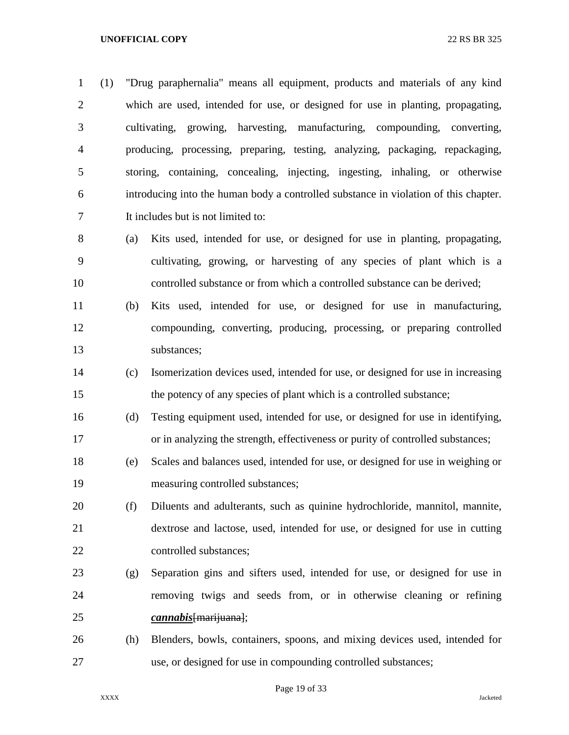(1) "Drug paraphernalia" means all equipment, products and materials of any kind which are used, intended for use, or designed for use in planting, propagating, cultivating, growing, harvesting, manufacturing, compounding, converting, producing, processing, preparing, testing, analyzing, packaging, repackaging, storing, containing, concealing, injecting, ingesting, inhaling, or otherwise introducing into the human body a controlled substance in violation of this chapter. It includes but is not limited to:

- (a) Kits used, intended for use, or designed for use in planting, propagating, cultivating, growing, or harvesting of any species of plant which is a controlled substance or from which a controlled substance can be derived;
- (b) Kits used, intended for use, or designed for use in manufacturing, compounding, converting, producing, processing, or preparing controlled substances;
- (c) Isomerization devices used, intended for use, or designed for use in increasing the potency of any species of plant which is a controlled substance;
- (d) Testing equipment used, intended for use, or designed for use in identifying, or in analyzing the strength, effectiveness or purity of controlled substances;
- (e) Scales and balances used, intended for use, or designed for use in weighing or measuring controlled substances;
- (f) Diluents and adulterants, such as quinine hydrochloride, mannitol, mannite, dextrose and lactose, used, intended for use, or designed for use in cutting controlled substances;
- (g) Separation gins and sifters used, intended for use, or designed for use in removing twigs and seeds from, or in otherwise cleaning or refining *cannabis*[marijuana];
- (h) Blenders, bowls, containers, spoons, and mixing devices used, intended for use, or designed for use in compounding controlled substances;

Page 19 of 33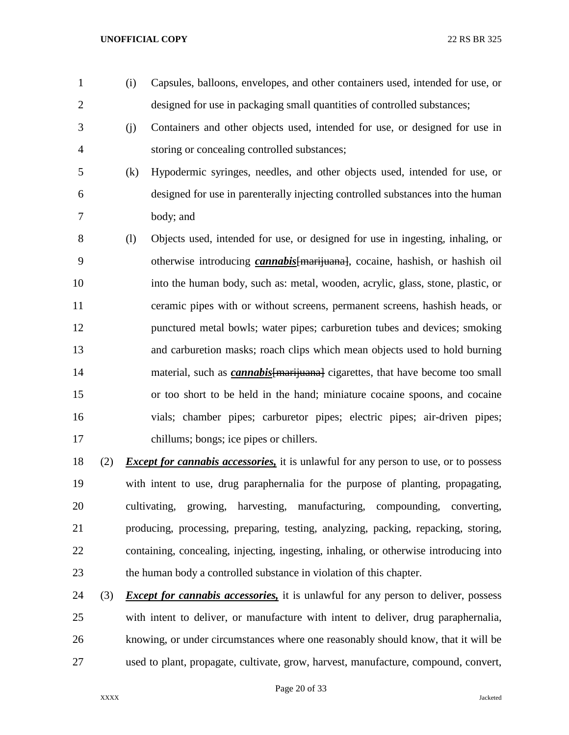- 
- (i) Capsules, balloons, envelopes, and other containers used, intended for use, or designed for use in packaging small quantities of controlled substances;
- (j) Containers and other objects used, intended for use, or designed for use in storing or concealing controlled substances;
- 
- (k) Hypodermic syringes, needles, and other objects used, intended for use, or designed for use in parenterally injecting controlled substances into the human body; and
- (l) Objects used, intended for use, or designed for use in ingesting, inhaling, or otherwise introducing *cannabis*[marijuana], cocaine, hashish, or hashish oil into the human body, such as: metal, wooden, acrylic, glass, stone, plastic, or ceramic pipes with or without screens, permanent screens, hashish heads, or punctured metal bowls; water pipes; carburetion tubes and devices; smoking and carburetion masks; roach clips which mean objects used to hold burning 14 material, such as *cannabis* {marijuana} cigarettes, that have become too small or too short to be held in the hand; miniature cocaine spoons, and cocaine vials; chamber pipes; carburetor pipes; electric pipes; air-driven pipes; chillums; bongs; ice pipes or chillers.
- (2) *Except for cannabis accessories,* it is unlawful for any person to use, or to possess with intent to use, drug paraphernalia for the purpose of planting, propagating, cultivating, growing, harvesting, manufacturing, compounding, converting, producing, processing, preparing, testing, analyzing, packing, repacking, storing, containing, concealing, injecting, ingesting, inhaling, or otherwise introducing into the human body a controlled substance in violation of this chapter.
- (3) *Except for cannabis accessories,* it is unlawful for any person to deliver, possess with intent to deliver, or manufacture with intent to deliver, drug paraphernalia, knowing, or under circumstances where one reasonably should know, that it will be used to plant, propagate, cultivate, grow, harvest, manufacture, compound, convert,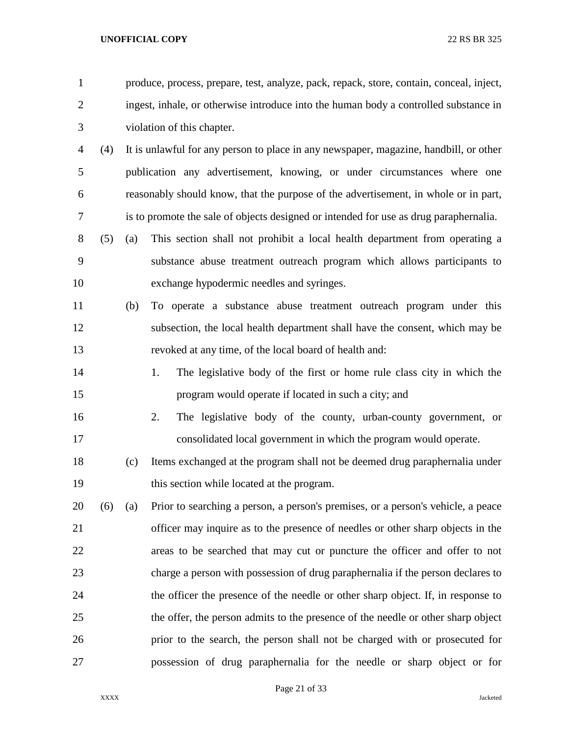- produce, process, prepare, test, analyze, pack, repack, store, contain, conceal, inject, ingest, inhale, or otherwise introduce into the human body a controlled substance in violation of this chapter.
- (4) It is unlawful for any person to place in any newspaper, magazine, handbill, or other publication any advertisement, knowing, or under circumstances where one reasonably should know, that the purpose of the advertisement, in whole or in part, is to promote the sale of objects designed or intended for use as drug paraphernalia.
- (5) (a) This section shall not prohibit a local health department from operating a substance abuse treatment outreach program which allows participants to exchange hypodermic needles and syringes.
- (b) To operate a substance abuse treatment outreach program under this subsection, the local health department shall have the consent, which may be revoked at any time, of the local board of health and:
- 1. The legislative body of the first or home rule class city in which the program would operate if located in such a city; and
- 2. The legislative body of the county, urban-county government, or consolidated local government in which the program would operate.
- (c) Items exchanged at the program shall not be deemed drug paraphernalia under this section while located at the program.
- (6) (a) Prior to searching a person, a person's premises, or a person's vehicle, a peace officer may inquire as to the presence of needles or other sharp objects in the areas to be searched that may cut or puncture the officer and offer to not charge a person with possession of drug paraphernalia if the person declares to the officer the presence of the needle or other sharp object. If, in response to the offer, the person admits to the presence of the needle or other sharp object prior to the search, the person shall not be charged with or prosecuted for possession of drug paraphernalia for the needle or sharp object or for

Page 21 of 33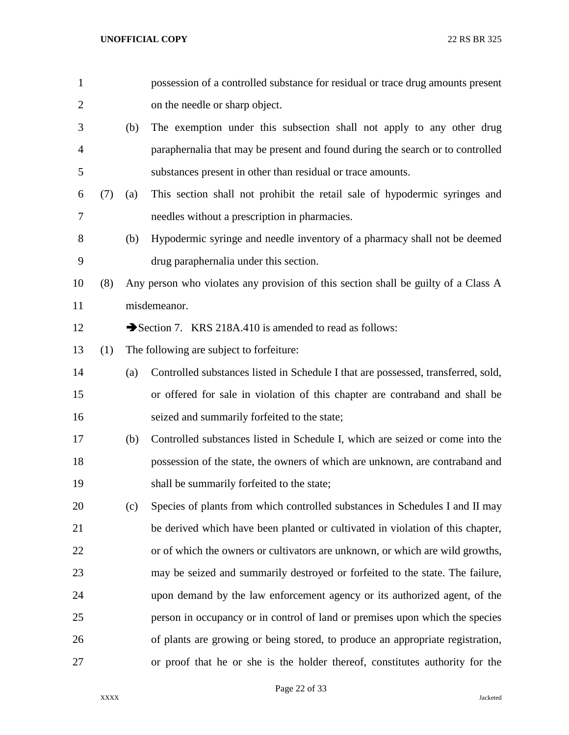| $\mathbf{1}$   |     |     | possession of a controlled substance for residual or trace drug amounts present    |
|----------------|-----|-----|------------------------------------------------------------------------------------|
| $\overline{2}$ |     |     | on the needle or sharp object.                                                     |
| 3              |     | (b) | The exemption under this subsection shall not apply to any other drug              |
| 4              |     |     | paraphernalia that may be present and found during the search or to controlled     |
| 5              |     |     | substances present in other than residual or trace amounts.                        |
| 6              | (7) | (a) | This section shall not prohibit the retail sale of hypodermic syringes and         |
| 7              |     |     | needles without a prescription in pharmacies.                                      |
| 8              |     | (b) | Hypodermic syringe and needle inventory of a pharmacy shall not be deemed          |
| 9              |     |     | drug paraphernalia under this section.                                             |
| 10             | (8) |     | Any person who violates any provision of this section shall be guilty of a Class A |
| 11             |     |     | misdemeanor.                                                                       |
| 12             |     |     | Section 7. KRS 218A.410 is amended to read as follows:                             |
| 13             | (1) |     | The following are subject to forfeiture:                                           |
| 14             |     | (a) | Controlled substances listed in Schedule I that are possessed, transferred, sold,  |
| 15             |     |     | or offered for sale in violation of this chapter are contraband and shall be       |
| 16             |     |     | seized and summarily forfeited to the state;                                       |
| 17             |     | (b) | Controlled substances listed in Schedule I, which are seized or come into the      |
| 18             |     |     | possession of the state, the owners of which are unknown, are contraband and       |
| 19             |     |     | shall be summarily forfeited to the state;                                         |
| 20             |     | (c) | Species of plants from which controlled substances in Schedules I and II may       |
| 21             |     |     | be derived which have been planted or cultivated in violation of this chapter,     |
| 22             |     |     | or of which the owners or cultivators are unknown, or which are wild growths,      |
| 23             |     |     | may be seized and summarily destroyed or forfeited to the state. The failure,      |
| 24             |     |     | upon demand by the law enforcement agency or its authorized agent, of the          |
| 25             |     |     | person in occupancy or in control of land or premises upon which the species       |
| 26             |     |     | of plants are growing or being stored, to produce an appropriate registration,     |
| 27             |     |     | or proof that he or she is the holder thereof, constitutes authority for the       |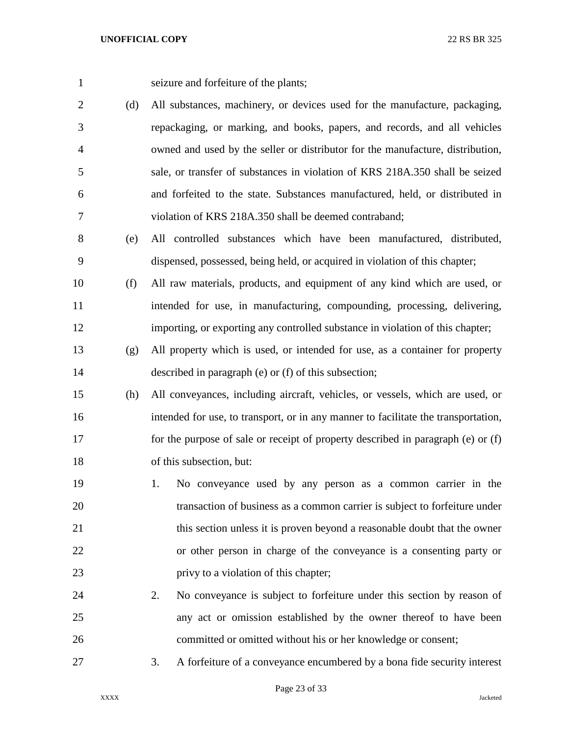seizure and forfeiture of the plants;

- (d) All substances, machinery, or devices used for the manufacture, packaging, repackaging, or marking, and books, papers, and records, and all vehicles owned and used by the seller or distributor for the manufacture, distribution, sale, or transfer of substances in violation of KRS 218A.350 shall be seized and forfeited to the state. Substances manufactured, held, or distributed in violation of KRS 218A.350 shall be deemed contraband;
- (e) All controlled substances which have been manufactured, distributed, dispensed, possessed, being held, or acquired in violation of this chapter;
- (f) All raw materials, products, and equipment of any kind which are used, or intended for use, in manufacturing, compounding, processing, delivering, importing, or exporting any controlled substance in violation of this chapter;
- (g) All property which is used, or intended for use, as a container for property described in paragraph (e) or (f) of this subsection;
- (h) All conveyances, including aircraft, vehicles, or vessels, which are used, or intended for use, to transport, or in any manner to facilitate the transportation, for the purpose of sale or receipt of property described in paragraph (e) or (f) of this subsection, but:
- 1. No conveyance used by any person as a common carrier in the transaction of business as a common carrier is subject to forfeiture under 21 this section unless it is proven beyond a reasonable doubt that the owner or other person in charge of the conveyance is a consenting party or privy to a violation of this chapter;
- 2. No conveyance is subject to forfeiture under this section by reason of any act or omission established by the owner thereof to have been committed or omitted without his or her knowledge or consent;
- 3. A forfeiture of a conveyance encumbered by a bona fide security interest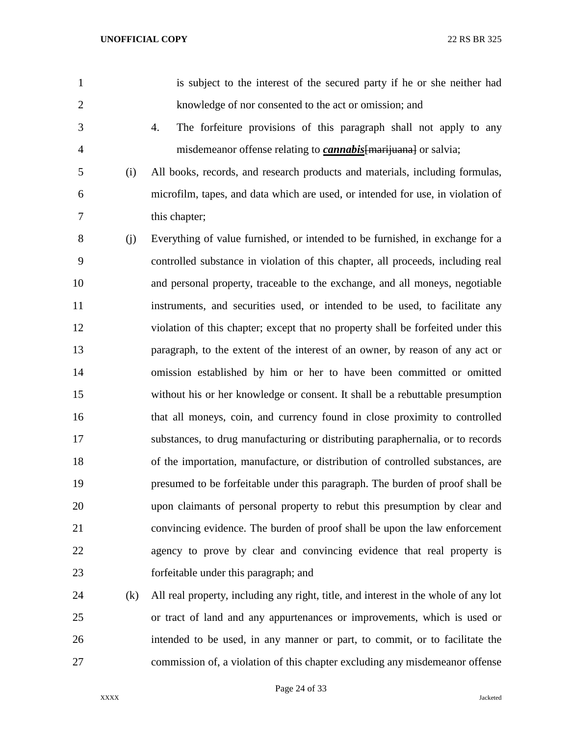| $\mathbf{1}$   |     | is subject to the interest of the secured party if he or she neither had            |
|----------------|-----|-------------------------------------------------------------------------------------|
| $\overline{2}$ |     | knowledge of nor consented to the act or omission; and                              |
| 3              |     | 4.<br>The forfeiture provisions of this paragraph shall not apply to any            |
| $\overline{4}$ |     | misdemeanor offense relating to <i>cannabis</i> [marijuana] or salvia;              |
| 5              | (i) | All books, records, and research products and materials, including formulas,        |
| 6              |     | microfilm, tapes, and data which are used, or intended for use, in violation of     |
| 7              |     | this chapter;                                                                       |
| 8              | (j) | Everything of value furnished, or intended to be furnished, in exchange for a       |
| 9              |     | controlled substance in violation of this chapter, all proceeds, including real     |
| 10             |     | and personal property, traceable to the exchange, and all moneys, negotiable        |
| 11             |     | instruments, and securities used, or intended to be used, to facilitate any         |
| 12             |     | violation of this chapter; except that no property shall be forfeited under this    |
| 13             |     | paragraph, to the extent of the interest of an owner, by reason of any act or       |
| 14             |     | omission established by him or her to have been committed or omitted                |
| 15             |     | without his or her knowledge or consent. It shall be a rebuttable presumption       |
| 16             |     | that all moneys, coin, and currency found in close proximity to controlled          |
| 17             |     | substances, to drug manufacturing or distributing paraphernalia, or to records      |
| 18             |     | of the importation, manufacture, or distribution of controlled substances, are      |
| 19             |     | presumed to be forfeitable under this paragraph. The burden of proof shall be       |
| 20             |     | upon claimants of personal property to rebut this presumption by clear and          |
| 21             |     | convincing evidence. The burden of proof shall be upon the law enforcement          |
| 22             |     | agency to prove by clear and convincing evidence that real property is              |
| 23             |     | forfeitable under this paragraph; and                                               |
| 24             | (k) | All real property, including any right, title, and interest in the whole of any lot |

 or tract of land and any appurtenances or improvements, which is used or intended to be used, in any manner or part, to commit, or to facilitate the commission of, a violation of this chapter excluding any misdemeanor offense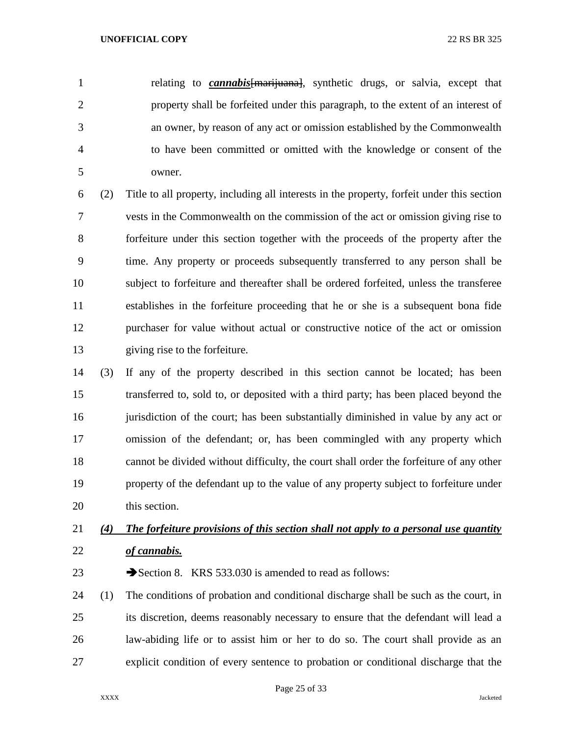relating to *cannabis*[marijuana], synthetic drugs, or salvia, except that property shall be forfeited under this paragraph, to the extent of an interest of an owner, by reason of any act or omission established by the Commonwealth to have been committed or omitted with the knowledge or consent of the owner.

 (2) Title to all property, including all interests in the property, forfeit under this section vests in the Commonwealth on the commission of the act or omission giving rise to forfeiture under this section together with the proceeds of the property after the time. Any property or proceeds subsequently transferred to any person shall be subject to forfeiture and thereafter shall be ordered forfeited, unless the transferee establishes in the forfeiture proceeding that he or she is a subsequent bona fide purchaser for value without actual or constructive notice of the act or omission giving rise to the forfeiture.

 (3) If any of the property described in this section cannot be located; has been transferred to, sold to, or deposited with a third party; has been placed beyond the 16 iurisdiction of the court; has been substantially diminished in value by any act or omission of the defendant; or, has been commingled with any property which cannot be divided without difficulty, the court shall order the forfeiture of any other property of the defendant up to the value of any property subject to forfeiture under this section.

# *(4) The forfeiture provisions of this section shall not apply to a personal use quantity of cannabis.*

23 Section 8. KRS 533.030 is amended to read as follows:

 (1) The conditions of probation and conditional discharge shall be such as the court, in its discretion, deems reasonably necessary to ensure that the defendant will lead a law-abiding life or to assist him or her to do so. The court shall provide as an explicit condition of every sentence to probation or conditional discharge that the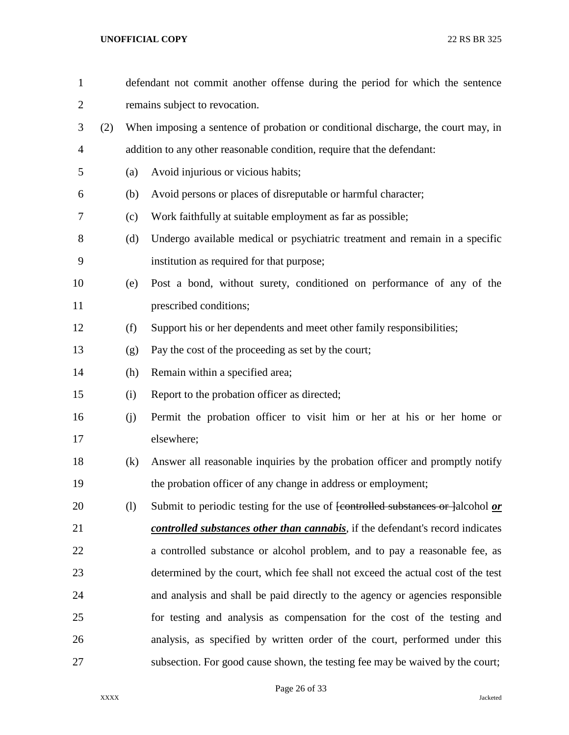| $\mathbf{1}$   |     |     | defendant not commit another offense during the period for which the sentence                      |
|----------------|-----|-----|----------------------------------------------------------------------------------------------------|
| $\overline{2}$ |     |     | remains subject to revocation.                                                                     |
| 3              | (2) |     | When imposing a sentence of probation or conditional discharge, the court may, in                  |
| 4              |     |     | addition to any other reasonable condition, require that the defendant:                            |
| 5              |     | (a) | Avoid injurious or vicious habits;                                                                 |
| 6              |     | (b) | Avoid persons or places of disreputable or harmful character;                                      |
| 7              |     | (c) | Work faithfully at suitable employment as far as possible;                                         |
| 8              |     | (d) | Undergo available medical or psychiatric treatment and remain in a specific                        |
| 9              |     |     | institution as required for that purpose;                                                          |
| 10             |     | (e) | Post a bond, without surety, conditioned on performance of any of the                              |
| 11             |     |     | prescribed conditions;                                                                             |
| 12             |     | (f) | Support his or her dependents and meet other family responsibilities;                              |
| 13             |     | (g) | Pay the cost of the proceeding as set by the court;                                                |
| 14             |     | (h) | Remain within a specified area;                                                                    |
| 15             |     | (i) | Report to the probation officer as directed;                                                       |
| 16             |     | (j) | Permit the probation officer to visit him or her at his or her home or                             |
| 17             |     |     | elsewhere;                                                                                         |
| 18             |     | (k) | Answer all reasonable inquiries by the probation officer and promptly notify                       |
| 19             |     |     | the probation officer of any change in address or employment;                                      |
| 20             |     | (1) | Submit to periodic testing for the use of <del>[controlled substances or ]</del> alcohol <i>or</i> |
| 21             |     |     | <i>controlled substances other than cannabis</i> , if the defendant's record indicates             |
| 22             |     |     | a controlled substance or alcohol problem, and to pay a reasonable fee, as                         |
| 23             |     |     | determined by the court, which fee shall not exceed the actual cost of the test                    |
| 24             |     |     | and analysis and shall be paid directly to the agency or agencies responsible                      |
| 25             |     |     | for testing and analysis as compensation for the cost of the testing and                           |
| 26             |     |     | analysis, as specified by written order of the court, performed under this                         |
| 27             |     |     | subsection. For good cause shown, the testing fee may be waived by the court;                      |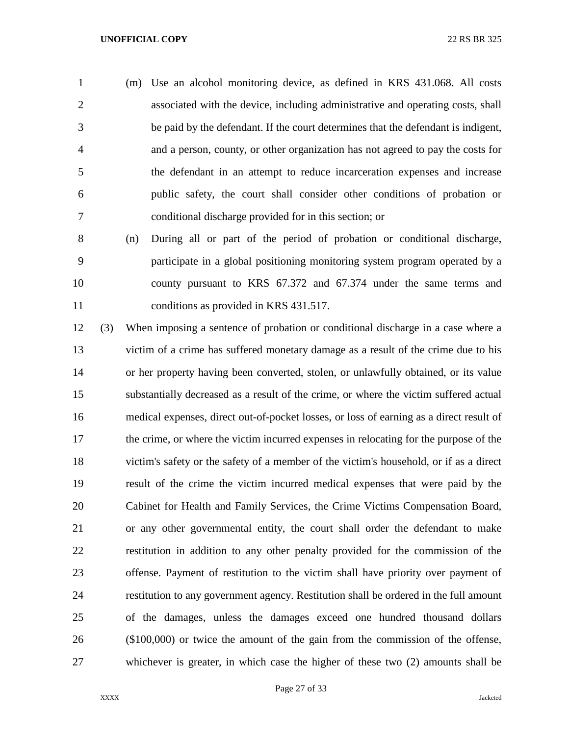(m) Use an alcohol monitoring device, as defined in KRS 431.068. All costs associated with the device, including administrative and operating costs, shall be paid by the defendant. If the court determines that the defendant is indigent, and a person, county, or other organization has not agreed to pay the costs for the defendant in an attempt to reduce incarceration expenses and increase public safety, the court shall consider other conditions of probation or conditional discharge provided for in this section; or

 (n) During all or part of the period of probation or conditional discharge, participate in a global positioning monitoring system program operated by a county pursuant to KRS 67.372 and 67.374 under the same terms and conditions as provided in KRS 431.517.

 (3) When imposing a sentence of probation or conditional discharge in a case where a victim of a crime has suffered monetary damage as a result of the crime due to his or her property having been converted, stolen, or unlawfully obtained, or its value substantially decreased as a result of the crime, or where the victim suffered actual medical expenses, direct out-of-pocket losses, or loss of earning as a direct result of the crime, or where the victim incurred expenses in relocating for the purpose of the victim's safety or the safety of a member of the victim's household, or if as a direct result of the crime the victim incurred medical expenses that were paid by the Cabinet for Health and Family Services, the Crime Victims Compensation Board, or any other governmental entity, the court shall order the defendant to make restitution in addition to any other penalty provided for the commission of the offense. Payment of restitution to the victim shall have priority over payment of restitution to any government agency. Restitution shall be ordered in the full amount of the damages, unless the damages exceed one hundred thousand dollars (\$100,000) or twice the amount of the gain from the commission of the offense, whichever is greater, in which case the higher of these two (2) amounts shall be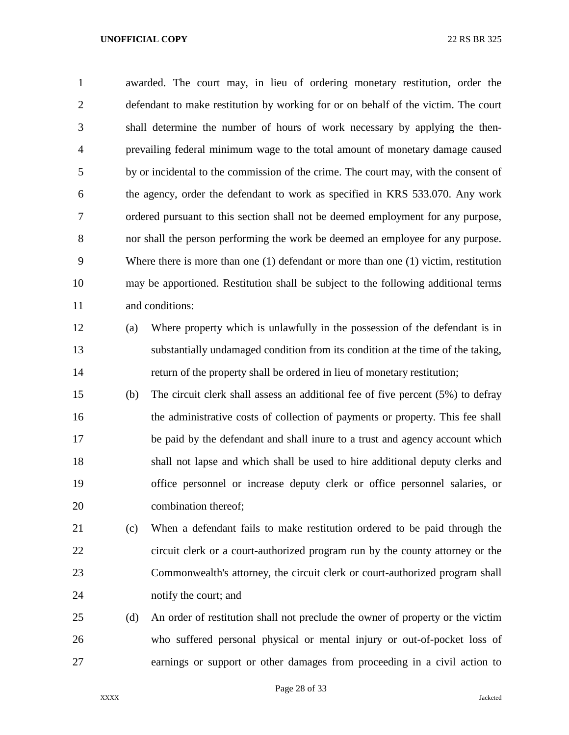awarded. The court may, in lieu of ordering monetary restitution, order the defendant to make restitution by working for or on behalf of the victim. The court shall determine the number of hours of work necessary by applying the then- prevailing federal minimum wage to the total amount of monetary damage caused by or incidental to the commission of the crime. The court may, with the consent of the agency, order the defendant to work as specified in KRS 533.070. Any work ordered pursuant to this section shall not be deemed employment for any purpose, nor shall the person performing the work be deemed an employee for any purpose. Where there is more than one (1) defendant or more than one (1) victim, restitution may be apportioned. Restitution shall be subject to the following additional terms and conditions:

- (a) Where property which is unlawfully in the possession of the defendant is in substantially undamaged condition from its condition at the time of the taking, return of the property shall be ordered in lieu of monetary restitution;
- (b) The circuit clerk shall assess an additional fee of five percent (5%) to defray the administrative costs of collection of payments or property. This fee shall be paid by the defendant and shall inure to a trust and agency account which shall not lapse and which shall be used to hire additional deputy clerks and office personnel or increase deputy clerk or office personnel salaries, or combination thereof;
- (c) When a defendant fails to make restitution ordered to be paid through the circuit clerk or a court-authorized program run by the county attorney or the Commonwealth's attorney, the circuit clerk or court-authorized program shall notify the court; and
- (d) An order of restitution shall not preclude the owner of property or the victim who suffered personal physical or mental injury or out-of-pocket loss of earnings or support or other damages from proceeding in a civil action to

Page 28 of 33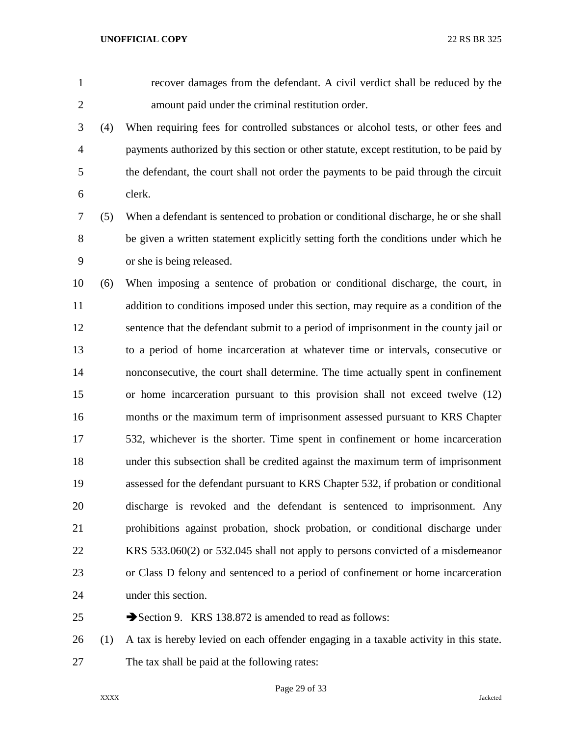recover damages from the defendant. A civil verdict shall be reduced by the amount paid under the criminal restitution order.

 (4) When requiring fees for controlled substances or alcohol tests, or other fees and payments authorized by this section or other statute, except restitution, to be paid by the defendant, the court shall not order the payments to be paid through the circuit clerk.

 (5) When a defendant is sentenced to probation or conditional discharge, he or she shall be given a written statement explicitly setting forth the conditions under which he or she is being released.

 (6) When imposing a sentence of probation or conditional discharge, the court, in addition to conditions imposed under this section, may require as a condition of the sentence that the defendant submit to a period of imprisonment in the county jail or to a period of home incarceration at whatever time or intervals, consecutive or nonconsecutive, the court shall determine. The time actually spent in confinement or home incarceration pursuant to this provision shall not exceed twelve (12) months or the maximum term of imprisonment assessed pursuant to KRS Chapter 532, whichever is the shorter. Time spent in confinement or home incarceration under this subsection shall be credited against the maximum term of imprisonment assessed for the defendant pursuant to KRS Chapter 532, if probation or conditional discharge is revoked and the defendant is sentenced to imprisonment. Any prohibitions against probation, shock probation, or conditional discharge under KRS 533.060(2) or 532.045 shall not apply to persons convicted of a misdemeanor or Class D felony and sentenced to a period of confinement or home incarceration under this section.

25 Section 9. KRS 138.872 is amended to read as follows:

 (1) A tax is hereby levied on each offender engaging in a taxable activity in this state. The tax shall be paid at the following rates: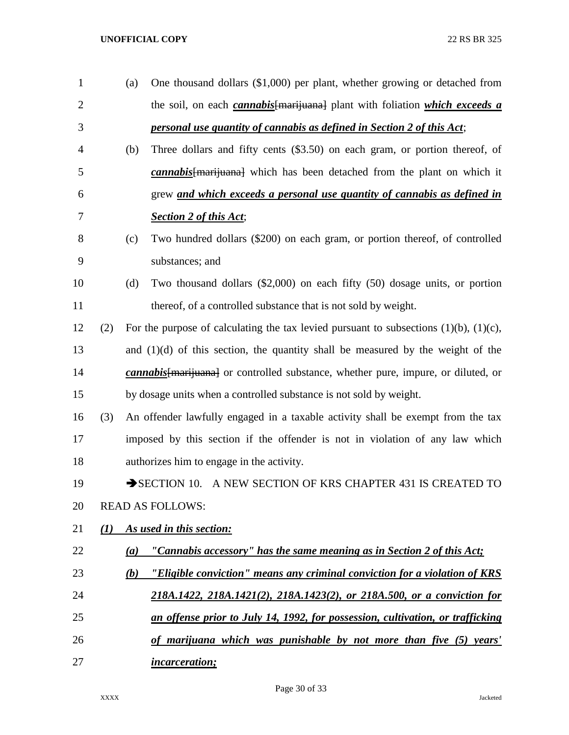(a) One thousand dollars (\$1,000) per plant, whether growing or detached from the soil, on each *cannabis*[marijuana] plant with foliation *which exceeds a personal use quantity of cannabis as defined in Section 2 of this Act*; (b) Three dollars and fifty cents (\$3.50) on each gram, or portion thereof, of *cannabis*[marijuana] which has been detached from the plant on which it grew *and which exceeds a personal use quantity of cannabis as defined in Section 2 of this Act*; (c) Two hundred dollars (\$200) on each gram, or portion thereof, of controlled substances; and (d) Two thousand dollars (\$2,000) on each fifty (50) dosage units, or portion thereof, of a controlled substance that is not sold by weight. 12 (2) For the purpose of calculating the tax levied pursuant to subsections  $(1)(b)$ ,  $(1)(c)$ , and (1)(d) of this section, the quantity shall be measured by the weight of the *cannabis*[marijuana] or controlled substance, whether pure, impure, or diluted, or by dosage units when a controlled substance is not sold by weight. (3) An offender lawfully engaged in a taxable activity shall be exempt from the tax imposed by this section if the offender is not in violation of any law which authorizes him to engage in the activity. 19 SECTION 10. A NEW SECTION OF KRS CHAPTER 431 IS CREATED TO READ AS FOLLOWS: *(1) As used in this section: (a) "Cannabis accessory" has the same meaning as in Section 2 of this Act; (b) "Eligible conviction" means any criminal conviction for a violation of KRS 218A.1422, 218A.1421(2), 218A.1423(2), or 218A.500, or a conviction for an offense prior to July 14, 1992, for possession, cultivation, or trafficking of marijuana which was punishable by not more than five (5) years' incarceration;*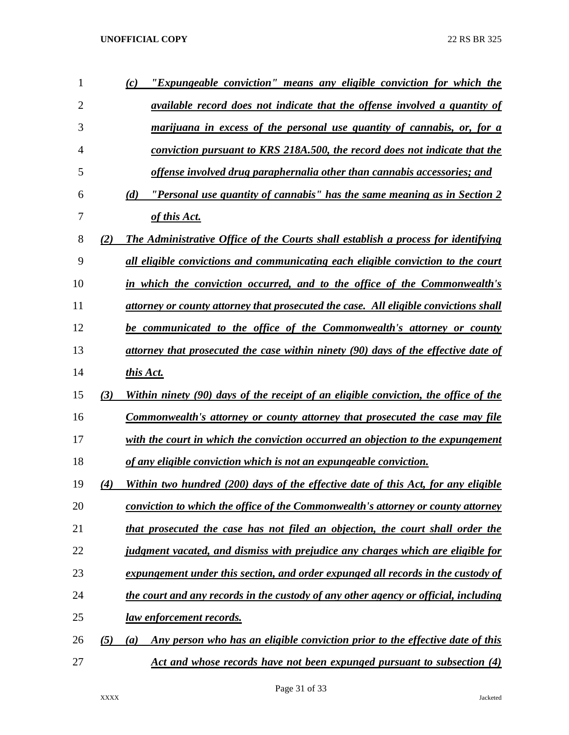| 1              |     | "Expungeable conviction" means any eligible conviction for which the<br>(c)                       |
|----------------|-----|---------------------------------------------------------------------------------------------------|
| $\overline{2}$ |     | <i>available record does not indicate that the offense involved a quantity of</i>                 |
| 3              |     | marijuana in excess of the personal use quantity of cannabis, or, for a                           |
| 4              |     | conviction pursuant to KRS 218A.500, the record does not indicate that the                        |
| 5              |     | offense involved drug paraphernalia other than cannabis accessories; and                          |
| 6              |     | <u>"Personal use quantity of cannabis" has the same meaning as in Section 2</u><br>(d)            |
| 7              |     | of this Act.                                                                                      |
| 8              | (2) | <b>The Administrative Office of the Courts shall establish a process for identifying</b>          |
| 9              |     | all eligible convictions and communicating each eligible conviction to the court                  |
| 10             |     | in which the conviction occurred, and to the office of the Commonwealth's                         |
| 11             |     | attorney or county attorney that prosecuted the case. All eligible convictions shall              |
| 12             |     | be communicated to the office of the Commonwealth's attorney or county                            |
| 13             |     | attorney that prosecuted the case within ninety (90) days of the effective date of                |
| 14             |     | this Act.                                                                                         |
| 15             | (3) | Within ninety (90) days of the receipt of an eligible conviction, the office of the               |
| 16             |     | <b>Commonwealth's attorney or county attorney that prosecuted the case may file</b>               |
| 17             |     | with the court in which the conviction occurred an objection to the expungement                   |
| 18             |     | of any eligible conviction which is not an expungeable conviction.                                |
| 19             | (4) | Within two hundred (200) days of the effective date of this Act, for any eligible                 |
| 20             |     | conviction to which the office of the Commonwealth's attorney or county attorney                  |
| 21             |     | that prosecuted the case has not filed an objection, the court shall order the                    |
| 22             |     | judgment vacated, and dismiss with prejudice any charges which are eligible for                   |
| 23             |     | expungement under this section, and order expunged all records in the custody of                  |
| 24             |     | the court and any records in the custody of any other agency or official, including               |
| 25             |     | law enforcement records.                                                                          |
| 26             | (5) | Any person who has an eligible conviction prior to the effective date of this<br>$\left(a\right)$ |
| 27             |     | Act and whose records have not been expunged pursuant to subsection (4)                           |

Page 31 of 33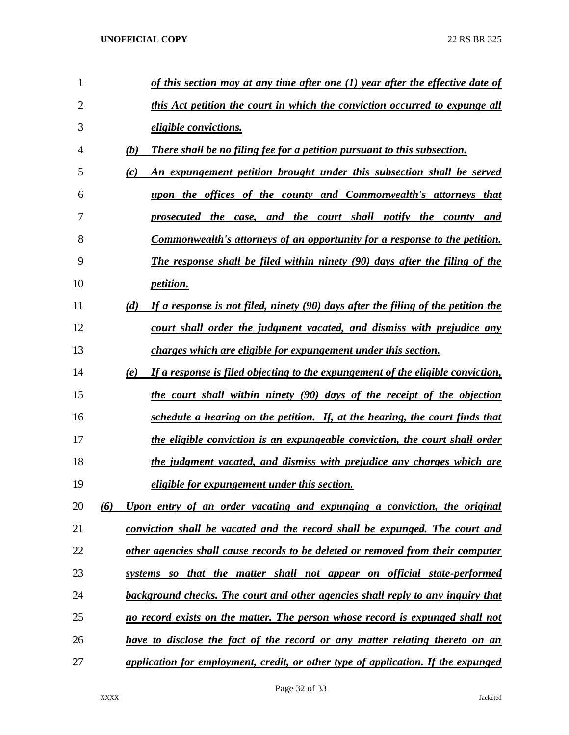| 1  |     | of this section may at any time after one (1) year after the effective date of     |
|----|-----|------------------------------------------------------------------------------------|
| 2  |     | this Act petition the court in which the conviction occurred to expunge all        |
| 3  |     | <i>eligible convictions.</i>                                                       |
| 4  | (b) | <b>There shall be no filing fee for a petition pursuant to this subsection.</b>    |
| 5  | (c) | An expungement petition brought under this subsection shall be served              |
| 6  |     | upon the offices of the county and Commonwealth's attorneys that                   |
| 7  |     | prosecuted the case, and the court shall notify the county and                     |
| 8  |     | <u>Commonwealth's attorneys of an opportunity for a response to the petition.</u>  |
| 9  |     | <b>The response shall be filed within ninety (90) days after the filing of the</b> |
| 10 |     | <i>petition.</i>                                                                   |
| 11 | (d) | If a response is not filed, ninety (90) days after the filing of the petition the  |
| 12 |     | court shall order the judgment vacated, and dismiss with prejudice any             |
| 13 |     | charges which are eligible for expungement under this section.                     |
| 14 | (e) | If a response is filed objecting to the expungement of the eligible conviction,    |
| 15 |     | the court shall within ninety (90) days of the receipt of the objection            |
| 16 |     | schedule a hearing on the petition. If, at the hearing, the court finds that       |
| 17 |     | the eligible conviction is an expungeable conviction, the court shall order        |
| 18 |     | the judgment vacated, and dismiss with prejudice any charges which are             |
| 19 |     | <i>eligible for expungement under this section.</i>                                |
| 20 | (6) | Upon entry of an order vacating and expunging a conviction, the original           |
| 21 |     | conviction shall be vacated and the record shall be expunged. The court and        |
| 22 |     | other agencies shall cause records to be deleted or removed from their computer    |
| 23 |     | systems so that the matter shall not appear on official state-performed            |
| 24 |     | background checks. The court and other agencies shall reply to any inquiry that    |
| 25 |     | no record exists on the matter. The person whose record is expunged shall not      |
| 26 |     | have to disclose the fact of the record or any matter relating thereto on an       |
| 27 |     | application for employment, credit, or other type of application. If the expunged  |